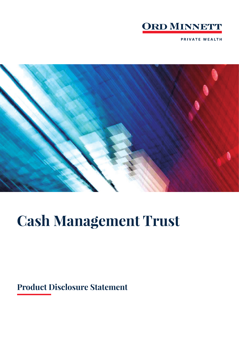

**PRIVATE WEALTH** 



# **Cash Management Trust**

# **Product Disclosure Statement**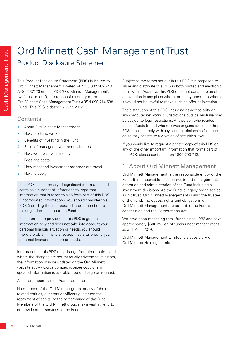# Ord Minnett Cash Management Trust Product Disclosure Statement

This Product Disclosure Statement (PDS) is issued by Ord Minnett Management Limited ABN 55 002 262 240, AFSL 237123 (in this PDS 'Ord Minnett Management', 'we', 'us' or 'our'), the responsible entity of the Ord Minnett Cash Management Trust ARSN 090 714 588 (Fund). This PDS is dated 22 June 2012.

# **Contents**

- 1 About Ord Minnett Management
- 2 How the Fund works
- 3 Benefits of investing in the Fund
- 4 Risks of managed investment schemes
- 5 How we invest your money
- 6 Fees and costs
- 7 How managed investment schemes are taxed
- 8 How to apply

This PDS is a summary of significant information and contains a number of references to important information that is taken to also form part of this PDS ('incorporated information'). You should consider this PDS (including the incorporated information before making a decision about the Fund.

The information provided in this PDS is general information only and does not take into account your personal financial situation or needs. You should therefore obtain financial advice that is tailored to your personal financial situation or needs.

Information in this PDS may change from time to time and where the changes are not materially adverse to investors, the information may be updated on the Ord Minnett website at www.ords.com.au. A paper copy of any updated information is available free of charge on request.

#### All dollar amounts are in Australian dollars.

No member of the Ord Minnett group, or any of their related entities, directors or officers guarantee the repayment of capital or the performance of the Fund. Members of the Ord Minnett group may invest in, lend to or provide other services to the Fund.

Subject to the terms set out in this PDS it is proposed to issue and distribute this PDS in both printed and electronic form within Australia. This PDS does not constitute an offer or invitation in any place where, or to any person to whom, it would not be lawful to make such an offer or invitation.

The distribution of this PDS (including its accessibility on any computer network) in jurisdictions outside Australia may be subject to legal restrictions. Any person who resides outside Australia and who receives or gains access to this PDS should comply with any such restrictions as failure to do so may constitute a violation of securities laws.

If you would like to request a printed copy of this PDS or any of the other important information that forms part of this PDS, please contact us on 1800 700 713.

# 1 About Ord Minnett Management

Ord Minnett Management is the responsible entity of the Fund. It is responsible for the investment management, operation and administration of the Fund including all investment decisions. As the Fund is legally organised as a unit trust, Ord Minnett Management is also the trustee of the Fund. The duties, rights and obligations of Ord Minnett Management are set out in the Fund's constitution and the Corporations Act.

We have been managing retail funds since 1982 and have approximately \$600 million of funds under management as at 1 April 2019.

Ord Minnett Management Limited is a subsidiary of Ord Minnett Holdings Limited.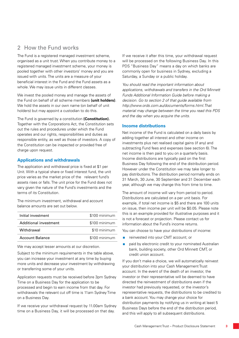# 2 How the Fund works

The Fund is a registered managed investment scheme, organised as a unit trust. When you contribute money to a registered managed investment scheme, your money is pooled together with other investors' money and you are issued with units. The units are a measure of your beneficial interest in the Fund and the Fund assets as a whole. We may issue units in different classes.

We invest the pooled money and manage the assets of the Fund on behalf of all scheme members **(unit holders)**. We hold the assets in our own name (on behalf of unit holders) but may appoint a custodian to do this.

The Fund is governed by a constitution **(Constitution).** Together with the Corporations Act, the Constitution sets out the rules and procedures under which the Fund operates and our rights, responsibilities and duties as responsible entity, as well as those of investors. A copy of the Constitution can be inspected or provided free of charge upon request.

# **Applications and withdrawals**

The application and withdrawal price is fixed at \$1 per Unit. With a typical share or fixed interest fund, the unit price varies as the market price of the relevant fund's assets rises or falls. The unit price for the Fund does not vary given the nature of the Fund's investments and the terms of its Constitution.

The minimum investment, withdrawal and account balance amounts are set out below.

| Initial investment     | \$100 minimum |
|------------------------|---------------|
| Additional investment  | \$100 minimum |
| Withdrawal             | \$10 minimum  |
| <b>Account Balance</b> | \$100 minimum |
|                        |               |

We may accept lesser amounts at our discretion.

Subject to the minimum requirements in the table above, you can increase your investment at any time by buying more units and decrease your investment by withdrawing or transferring some of your units.

Application requests must be received before 3pm Sydney Time on a Business Day for the application to be processed and begin to earn income from that day. For withdrawals the relevant cut off time is 11am Sydney Time on a Business Day.

If we receive your withdrawal request by 11.00am Sydney time on a Business Day, it will be processed on that day.

If we receive it after this time, your withdrawal request will be processed on the following Business Day. In this PDS "Business Day" means a day on which banks are commonly open for business in Sydney, excluding a Saturday, a Sunday or a public holiday.

*You should read the important information about applications, withdrawals and transfers in the Ord Minnett Funds Additional Information Guide before making a decision. Go to section 2 of that guide available from http://www.ords.com.au/documents/forms.html.That material may change between the time you read this PDS and the day when you acquire the units.* 

# **Income distributions**

Net income of the Fund is calculated on a daily basis by adding together all interest and other income on investments plus net realised capital gains (if any) and subtracting Fund fees and expenses (see section 6). The net income is then paid to you on a quarterly basis. Income distributions are typically paid on the first Business Day following the end of the distribution period. However under the Constitution we may take longer to pay distributions. The distribution period normally ends on 31 March, 30 June, 30 September and 31 December each year, although we may change this from time to time.

The amount of income will vary from period to period. Distributions are calculated on a per unit basis. For example, if total net income is \$5 and there are 100 units on issue, then income per unit will be \$0.05. Please note this is an example provided for illustrative purposes and it is not a forecast or projection. Please contact us for information about the Fund's income returns.

You can choose to have your distributions of income:

- reinvested into your CMT account; or
- **paid by electronic credit to your nominated Australian** bank, building society, other Ord Minnett CMT, or credit union account.

If you don't make a choice, we will automatically reinvest your distribution into your Cash Management Trust account. In the event of the death of an investor, the investor or their representative will be deemed to have directed the reinvestment of distributions even if the investor had previously requested, or the investor's representative requests, the distributions to be credited to a bank account. You may change your choice for distribution payments by notifying us in writing at least 5 Business Days before the end of the distribution period, and this will apply to all subsequent distributions.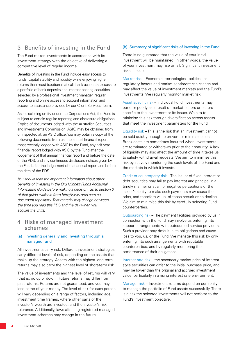# 3 Benefits of investing in the Fund

The Fund makes investments in accordance with its investment strategy with the objective of delivering a competitive level of regular income.

Benefits of investing in the Fund include easy access to funds, capital stability and liquidity while enjoying higher returns than most traditional 'at call' bank accounts, access to a portfolio of bank deposits and interest bearing securities selected by a professional investment manager, regular reporting and online access to account information and access to assistance provided by our Client Services Team.

As a disclosing entity under the Corporations Act, the Fund is subject to certain regular reporting and disclosure obligations. Copies of documents lodged with the Australian Securities and Investments Commission (ASIC) may be obtained from, or inspected at, an ASIC office. You may obtain a copy of the following documents from us: the annual financial report most recently lodged with ASIC by the Fund, any half year financial report lodged with ASIC by the Fund after the lodgement of that annual financial report and before the date of the PDS; and any continuous disclosure notices given by the Fund after the lodgement of that annual report and before the date of the PDS.

*You should read the important information about other benefits of investing in the Ord Minnett Funds Additional Information Guide before making a decision. Go to section 3 of that guide available from http://www.ords.com.au document-repository. That material may change between the time you read this PDS and the day when you acquire the units.*

# 4 Risks of managed investment schemes

#### (a) Investing generally and investing through a managed fund

All investments carry risk. Different investment strategies carry different levels of risk, depending on the assets that make up the strategy. Assets with the highest long-term returns may also carry the highest level of short-term risk.

The value of investments and the level of returns will vary (that is, go up or down). Future returns may differ from past returns. Returns are not guaranteed, and you may lose some of your money. The level of risk for each person will vary depending on a range of factors, including age, investment time frames, where other parts of the investor's wealth are invested, and the investor's risk tolerance. Additionally, laws affecting registered managed investment schemes may change in the future.

#### (b) Summary of significant risks of investing in the Fund

There is no guarantee that the value of your initial investment will be maintained. In other words, the value of your investment may rise or fall. Significant investment risks include:

Market risk – Economic, technological, political, or regulatory factors and market sentiment can change and may affect the value of investment markets and the Fund's investments. We regularly monitor market risk.

Asset specific risk – Individual Fund investments may perform poorly as a result of market factors or factors specific to the investment or its issuer. We aim to minimise this risk through diversification across assets that meet the investment parameters for the Fund.

Liquidity risk – This is the risk that an investment cannot be sold quickly enough to prevent or minimise a loss. Break costs are sometimes incurred when investments are terminated or withdrawn prior to their maturity. A lack of liquidity may also affect the amount of time it takes us to satisfy withdrawal requests. We aim to minimise this risk by actively monitoring the cash levels of the Fund and the markets in which it invests.

Credit or counterparty risk – The issuer of fixed interest or debt securities may fail to pay interest and principal in a timely manner or at all, or negative perceptions of the issuer's ability to make such payments may cause the price, and therefore value, of those securities to decline. We aim to minimise this risk by carefully selecting Fund counterparties.

Outsourcing risk – The payment facilities provided by us in connection with the Fund may involve us entering into support arrangements with outsourced service providers. Such a provider may default in its obligations and cause loss to you, us, or the Fund. We manage this risk by only entering into such arrangements with reputable counterparties, and by regularly monitoring the performance of their obligations.

Interest rate risk – the secondary market price of interest style securities can differ to the initial purchase price, and may be lower than the original and accrued investment value, particularly in a rising interest rate environment.

Manager risk – Investment returns depend on our ability to manage the portfolio of Fund assets successfully. There is a risk the selected investments will not perform to the Fund's investment objective.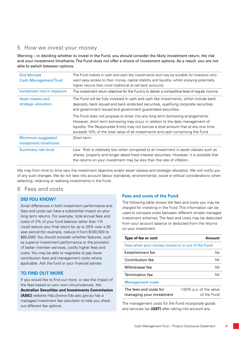# 5 How we invest your money

Warning – in deciding whether to invest in the Fund, you should consider the likely investment return, the risk and your investment timeframe. The Fund does not offer a choice of investment options. As a result, you are not able to switch between options.

| <b>Ord Minnett</b><br><b>Cash Management Trust</b> | The Fund invests in cash and cash like investments and may be suitable for investors who<br>want easy access to their money, capital stability and liquidity, whilst enjoying potentially<br>higher returns than most traditional at call bank accounts.                                                                                   |
|----------------------------------------------------|--------------------------------------------------------------------------------------------------------------------------------------------------------------------------------------------------------------------------------------------------------------------------------------------------------------------------------------------|
| Investment return objective                        | The investment return objective for the Fund is to deliver a competitive level of regular income.                                                                                                                                                                                                                                          |
| Asset classes and<br>strategic allocation          | The Fund will be fully invested in cash and cash like investments, which include bank<br>deposits, bank issued and bank endorsed securities, qualifying corporate securities<br>and government issued and government guaranteed securities.                                                                                                |
|                                                    | The Fund does not propose to enter into any long term borrowing arrangements.<br>However, short term borrowing may occur in relation to the daily management of<br>liquidity. The Responsible Entity may not borrow a total amount that at any one time<br>exceeds 10% of the total value of all investments and cash comprising the Fund. |
| Minimum suggested<br>investment timeframe          | Short term.                                                                                                                                                                                                                                                                                                                                |
| <b>Summary risk level</b>                          | Low. Risk is relatively low when compared to an investment in asset classes such as<br>shares, property and longer dated fixed interest securities. However, it is possible that<br>the returns on your investment may be less than the rate of inflation.                                                                                 |

We may from time to time vary the investment objective and/or asset classes and strategic allocation. We will notify you of any such changes. We do not take into account labour standards, environmental, social or ethical considerations when selecting, retaining or realising investments in the Fund.

# 6 Fees and costs

# **DID YOU KNOW?**

Small differences in both investment performance and fees and costs can have a substantial impact on your long term returns. For example, total annual fees and costs of 2% of your fund balance rather than 1% could reduce your final return by up to 20% over a 30 year period (for example, reduce it from \$100,000 to \$80,000). You should consider whether features, such as superior investment performance or the provision of better member services, justify higher fees and costs. You may be able to negotiate to pay lower contribution fees and management costs where applicable. Ask the fund or your financial adviser.

# **TO FIND OUT MORE**

If you would like to find out more, or see the impact of the fees based on your own circumstances, the

**Australian Securities and Investments Commission (ASIC)** website http://www.fido.asic.gov.au has a managed investment fee calculator to help you check out different fee options.

# **Fees and costs of the Fund**

The following table shows the fees and costs you may be charged for investing in the Fund. This information can be used to compare costs between different simple managed investment schemes. The fees and costs may be deducted from your account balance or deducted from the returns on your investment.

| Type of fee or cost                                | Amount                                 |  |
|----------------------------------------------------|----------------------------------------|--|
| Fees when your money moves in or out of the Fund   |                                        |  |
| Establishment fee                                  | Nil                                    |  |
| Contribution fee                                   | Nil                                    |  |
| Withdrawal fee                                     | Nil                                    |  |
| Termination fee                                    | Nil                                    |  |
| <b>Management costs</b>                            |                                        |  |
| The fees and costs for<br>managing your investment | 1.03% p.a. of the value<br>of the Fund |  |

The management costs for the Fund incorporate goods and services tax **(GST)** after taking into account any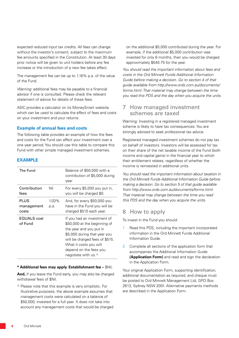expected reduced input tax credits. All fees can change without the investor's consent, subject to the maximum fee amounts specified in the Constitution. At least 30 days prior notice will be given to unit holders before any fee increase or the introduction of a new fee takes effect.

The management fee can be up to 1.16% p.a. of the value of the Fund.

*Warning:* additional fees may be payable to a financial advisor if one is consulted. Please check the relevant statement of advice for details of these fees.

ASIC provides a calculator on its MoneySmart website which can be used to calculate the effect of fees and costs on your investment and your returns.

### **Example of annual fees and costs**

The following table provides an example of how the fees and costs for the Fund can affect your investment over a one year period. You should use this table to compare this Fund with other simple managed investment schemes.

#### **EXAMPLE**

| The Fund                           |                  | Balance of \$50,000 with a<br>contribution of \$5,000 during<br>year                                                                                                                                                                        |
|------------------------------------|------------------|---------------------------------------------------------------------------------------------------------------------------------------------------------------------------------------------------------------------------------------------|
| Contribution<br>fees               | Nil              | For every \$5,000 you put in,<br>you will be charged \$0.                                                                                                                                                                                   |
| <b>PLUS</b><br>management<br>costs | $1.03\%$<br>p.a. | And, for every \$50,000 you<br>have in the Fund you will be<br>charged \$515 each year.                                                                                                                                                     |
| EQUALS cost<br>of Fund             |                  | If you had an investment of<br>\$50,000 at the beginning of<br>the year and you put in<br>\$5,000 during that year you<br>will be charged fees of \$515.<br>What it costs you will<br>depend on the fees you<br>negotiate with us. $\wedge$ |

#### **\* Additional fees may apply. Establishment fee –** \$Nil,

**And,** if you leave the Fund early, you may also be charged withdrawal fees of \$Nil.

^ Please note that this example is very simplistic. For illustrative purposes, the above example assumes that management costs were calculated on a balance of \$50,000, invested for a full year. It does not take into account any management costs that would be charged on the additional \$5,000 contributed during the year. For example, if the additional \$5,000 contribution was invested for only 6 months, then you would be charged approximately \$540.75 for the year.

*You should read the important information about fees and costs in the Ord Minnett Funds Additional Information Guide before making a decision. Go to section 4 of that guide available from http://www.ords.com.au/documents/ forms.html. That material may change between the time you read this PDS and the day when you acquire the units.*

# 7 How managed investment schemes are taxed

Warning: Investing in a registered managed investment scheme is likely to have tax consequences. You are strongly advised to seek professional tax advice.

Registered managed investment schemes do not pay tax on behalf of investors. Investors will be assessed for tax on their share of the net taxable income of the Fund (both income and capital gains) in the financial year to which their entitlement relates, regardless of whether the income is reinvested in additional units.

*You should read the important information about taxation in the Ord Minnett Funds Additional Information Guide before making a decision. Go to section 5 of that guide available from http://www.ords.com.au/documents/forms.html. That material may change between the time you read this PDS and the day when you acquire the units.*

# 8 How to apply

To invest in the Fund you should:

- Read this PDS, including the important incorporated information in the Ord Minnett Funds Additional Information Guide.
- 2 Complete all sections of the application form that accompanies the Additional Information Guide **(Application Form)** and read and sign the declaration in the Application Form.

Your original Application Form, supporting identification, additional documentation as required, and cheque must be posted to Ord Minnett Management Ltd, GPO Box 2613, Sydney NSW 2001. Alternative payments methods are described in the Application Form.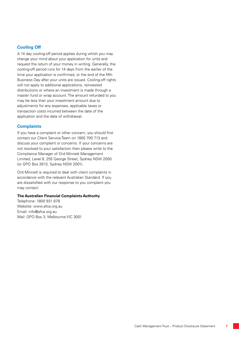# **Cooling Off**

A 14 day cooling-off period applies during which you may change your mind about your application for units and request the return of your money in writing. Generally, the cooling-off period runs for 14 days from the earlier of the time your application is confirmed, or the end of the fifth Business Day after your units are issued. Cooling-off rights will not apply to additional applications, reinvested distributions or where an investment is made through a master fund or wrap account. The amount refunded to you may be less than your investment amount due to adjustments for any expenses, applicable taxes or transaction costs incurred between the date of the application and the date of withdrawal.

# **Complaints**

If you have a complaint or other concern, you should first contact our Client Service Team on 1800 700 713 and discuss your complaint or concerns. If your concerns are not resolved to your satisfaction then please write to the Compliance Manager of Ord Minnett Management Limited, Level 8, 255 George Street, Sydney NSW 2000 (or GPO Box 2613, Sydney NSW 2001).

Ord Minnett is required to deal with client complaints in accordance with the relevant Australian Standard. If you are dissatisfied with our response to you complaint you may contact:

#### **The Australian Financial Complaints Authority**

Telephone: 1800 931 678 Website: www.afca.org.au Email: info@afca.org.au Mail: GPO Box 3, Melbourne VIC 3001